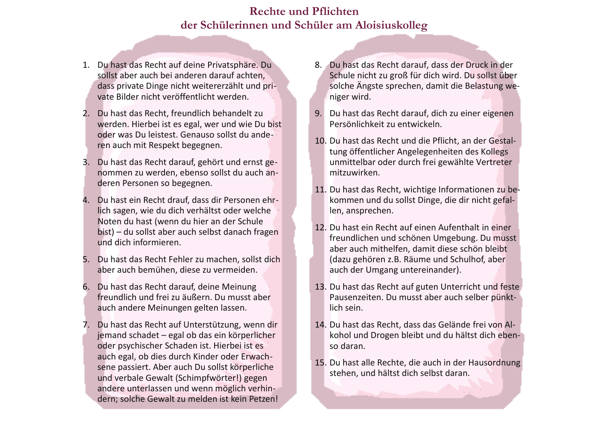## **Rechte und Pflichten** der Schülerinnen und Schüler am Aloisiuskolleg

- 1. Du hast das Recht auf deine Privatsphäre. Du sollst aber auch bei anderen darauf achten. dass private Dinge nicht weitererzählt und private Bilder nicht veröffentlicht werden.
- 2. Du hast das Recht, freundlich behandelt zu werden. Hierbei ist es egal, wer und wie Du bist oder was Du leistest. Genauso sollst du anderen auch mit Respekt begegnen.
- 3. Du hast das Recht darauf, gehört und ernst genommen zu werden, ebenso sollst du auch anderen Personen so begegnen.
- 4. Du hast ein Recht drauf, dass dir Personen ehrlich sagen, wie du dich verhältst oder welche Noten du hast (wenn du hier an der Schule bist) – du sollst aber auch selbst danach fragen und dich informieren.
- 5. Du hast das Recht Fehler zu machen, sollst dich aber auch bemühen, diese zu vermeiden.
- 6. Du hast das Recht darauf, deine Meinung freundlich und frei zu äußern. Du musst aber auch andere Meinungen gelten lassen.
- 7. Du hast das Recht auf Unterstützung, wenn dir jemand schadet – egal ob das ein körperlicher oder psychischer Schaden ist. Hierbei ist es auch egal, ob dies durch Kinder oder Erwachsene passiert. Aber auch Du sollst körperliche und verbale Gewalt (Schimpfwörter!) gegen andere unterlassen und wenn möglich verhindern; solche Gewalt zu melden ist kein Petzen!
- 8. Du hast das Recht darauf, dass der Druck in der Schule nicht zu groß für dich wird. Du sollst über solche Ängste sprechen, damit die Belastung weniger wird.
- 9. Du hast das Recht darauf, dich zu einer eigenen Persönlichkeit zu entwickeln.
- 10. Du hast das Recht und die Pflicht, an der Gestaltung öffentlicher Angelegenheiten des Kollegs unmittelbar oder durch frei gewählte Vertreter mitzuwirken.
- 11. Du hast das Recht, wichtige Informationen zu bekommen und du sollst Dinge, die dir nicht gefallen, ansprechen.
- 12. Du hast ein Recht auf einen Aufenthalt in einer freundlichen und schönen Umgebung. Du musst aber auch mithelfen, damit diese schön bleibt (dazu gehören z.B. Räume und Schulhof, aber auch der Umgang untereinander).
- 13. Du hast das Recht auf guten Unterricht und feste Pausenzeiten. Du musst aber auch selber pünktlich sein.
- 14. Du hast das Recht, dass das Gelände frei von Alkohol und Drogen bleibt und du hältst dich ebenso daran.
- 15. Du hast alle Rechte, die auch in der Hausordnung stehen, und hältst dich selbst daran.